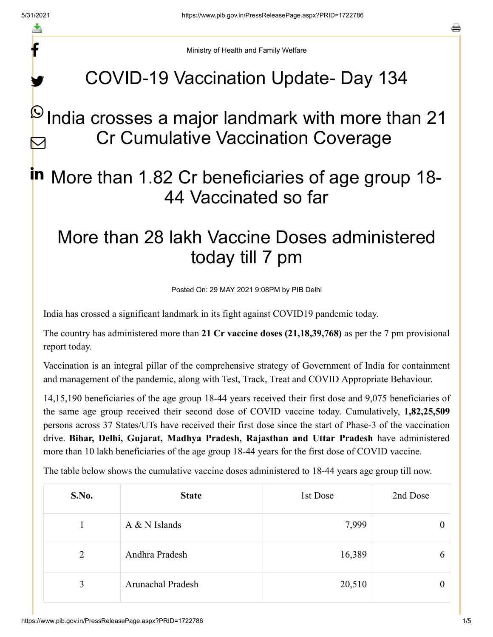f

y.

a

Ministry of Health and Family Welfare

## COVID-19 Vaccination Update- Day 134

#### India crosses a major landmark with more than 21 Cr Cumulative Vaccination Coverage  $\boldsymbol{\omega}$ M

# in More than 1.82 Cr beneficiaries of age group 18-44 Vaccinated so far

## More than 28 lakh Vaccine Doses administered today till 7 pm

Posted On: 29 MAY 2021 9:08PM by PIB Delhi

India has crossed a significant landmark in its fight against COVID19 pandemic today.

The country has administered more than **21 Cr vaccine doses (21,18,39,768)** as per the 7 pm provisional report today.

Vaccination is an integral pillar of the comprehensive strategy of Government of India for containment and management of the pandemic, along with Test, Track, Treat and COVID Appropriate Behaviour.

14,15,190 beneficiaries of the age group 18-44 years received their first dose and 9,075 beneficiaries of the same age group received their second dose of COVID vaccine today. Cumulatively, **1,82,25,509** persons across 37 States/UTs have received their first dose since the start of Phase-3 of the vaccination drive. **Bihar, Delhi, Gujarat, Madhya Pradesh, Rajasthan and Uttar Pradesh** have administered more than 10 lakh beneficiaries of the age group 18-44 years for the first dose of COVID vaccine.

The table below shows the cumulative vaccine doses administered to 18-44 years age group till now.

| S.No.          | <b>State</b>             | 1st Dose | 2nd Dose |
|----------------|--------------------------|----------|----------|
|                | $A & N$ Islands          | 7,999    |          |
| $\overline{2}$ | Andhra Pradesh           | 16,389   | 6        |
| $\overline{3}$ | <b>Arunachal Pradesh</b> | 20,510   |          |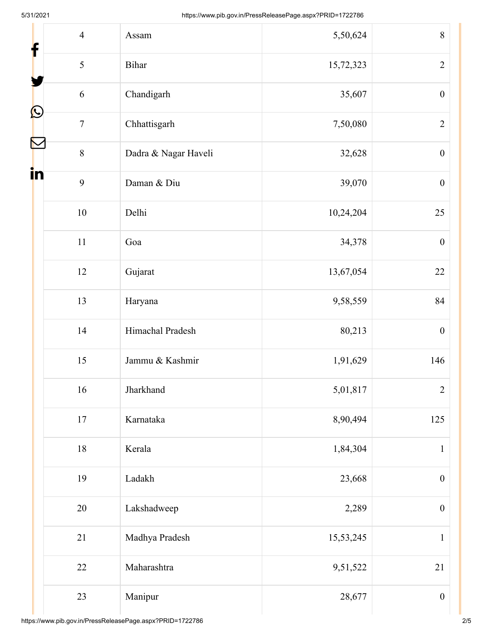| f  | $\overline{4}$ | Assam                | 5,50,624  | 8                |
|----|----------------|----------------------|-----------|------------------|
|    | 5              | Bihar                | 15,72,323 | $\overline{2}$   |
|    | 6              | Chandigarh           | 35,607    | $\boldsymbol{0}$ |
| L  | $\overline{7}$ | Chhattisgarh         | 7,50,080  | $\overline{2}$   |
| N  | 8              | Dadra & Nagar Haveli | 32,628    | $\boldsymbol{0}$ |
| in | 9              | Daman & Diu          | 39,070    | $\boldsymbol{0}$ |
|    | $10\,$         | Delhi                | 10,24,204 | 25               |
|    | $11\,$         | Goa                  | 34,378    |                  |
|    | 12             | Gujarat              | 13,67,054 |                  |
|    | 13             | Haryana              | 9,58,559  | 84               |
|    | 14             | Himachal Pradesh     | 80,213    | $\boldsymbol{0}$ |
|    | 15             | Jammu & Kashmir      | 1,91,629  | 146              |
|    | 16             | Jharkhand            | 5,01,817  | $\overline{2}$   |
|    | $17\,$         | Karnataka            | 8,90,494  | 125              |
|    | 18             | Kerala               | 1,84,304  | $\mathbf{1}$     |
|    | 19             | Ladakh               | 23,668    | $\boldsymbol{0}$ |
|    | 20             | Lakshadweep          | 2,289     | $\boldsymbol{0}$ |
|    | 21             | Madhya Pradesh       | 15,53,245 | $\mathbf{1}$     |
|    | 22             | Maharashtra          | 9,51,522  | 21               |
|    | 23             | Manipur              | 28,677    | $\boldsymbol{0}$ |

Ш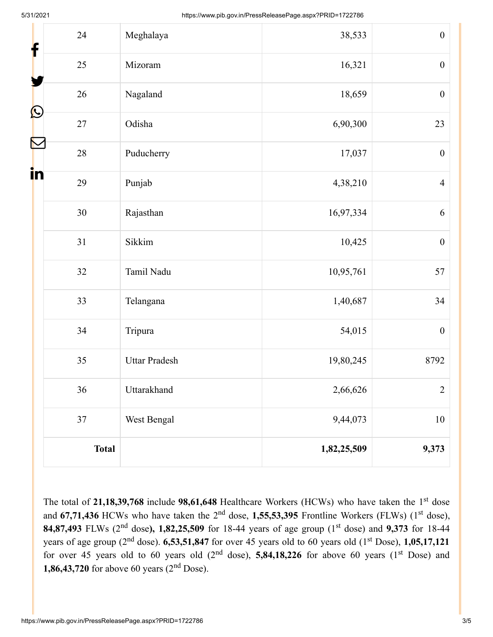| f                 | 24           | Meghalaya            | 38,533      | $\boldsymbol{0}$ |
|-------------------|--------------|----------------------|-------------|------------------|
|                   | 25           | Mizoram              | 16,321      | $\boldsymbol{0}$ |
|                   | $26\,$       | Nagaland             | 18,659      | $\boldsymbol{0}$ |
| $\mathbf{\Omega}$ | 27           | Odisha               | 6,90,300    | 23               |
| N                 | 28           | Puducherry           | 17,037      | $\boldsymbol{0}$ |
| $\ln$             | 29           | Punjab               | 4,38,210    | $\overline{4}$   |
|                   | 30           | Rajasthan            | 16,97,334   | 6                |
|                   | 31           | Sikkim               | 10,425      | $\boldsymbol{0}$ |
|                   | 32           | Tamil Nadu           | 10,95,761   | 57               |
|                   | 33           | Telangana            | 1,40,687    | 34               |
|                   | 34           | Tripura              | 54,015      | $\boldsymbol{0}$ |
|                   | 35           | <b>Uttar Pradesh</b> | 19,80,245   | 8792             |
|                   | 36           | Uttarakhand          | 2,66,626    | $\overline{2}$   |
|                   | 37           | West Bengal          | 9,44,073    | $10\,$           |
|                   | <b>Total</b> |                      | 1,82,25,509 | 9,373            |

The total of 21,18,39,768 include 98,61,648 Healthcare Workers (HCWs) who have taken the 1<sup>st</sup> dose and 67,71,436 HCWs who have taken the 2<sup>nd</sup> dose, 1,55,53,395 Frontline Workers (FLWs) (1<sup>st</sup> dose), **84,87,493** FLWs (2<sup>nd</sup> dose), 1,82,25,509 for 18-44 years of age group (1<sup>st</sup> dose) and 9,373 for 18-44 years of age group ( $2<sup>nd</sup>$  dose).  $6,53,51,847$  for over 45 years old to 60 years old ( $1<sup>st</sup>$  Dose),  $1,05,17,121$ for over 45 years old to 60 years old  $(2<sup>nd</sup> dose)$ , **5,84,18,226** for above 60 years  $(1<sup>st</sup> Does)$  and **1,86,43,720** for above 60 years  $(2<sup>nd</sup>$  Dose).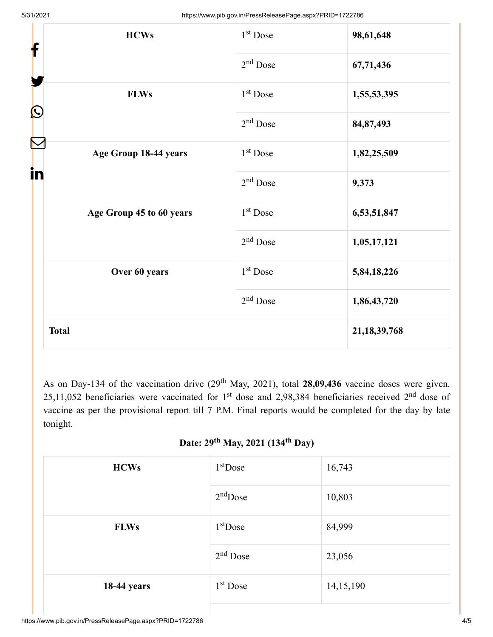| <b>HCWs</b><br>f            | 1 <sup>st</sup> Dose | 98,61,648       |
|-----------------------------|----------------------|-----------------|
|                             | $2nd$ Dose           | 67,71,436       |
| <b>FLWs</b>                 | 1 <sup>st</sup> Dose | 1,55,53,395     |
| $\bf \Omega$                | $2nd$ Dose           | 84,87,493       |
| Age Group 18-44 years<br>in | 1 <sup>st</sup> Dose | 1,82,25,509     |
|                             | $2nd$ Dose           | 9,373           |
| Age Group 45 to 60 years    | 1 <sup>st</sup> Dose | 6,53,51,847     |
|                             | $2nd$ Dose           | 1,05,17,121     |
| Over 60 years               | $1st$ Dose           | 5,84,18,226     |
|                             | $2nd$ Dose           | 1,86,43,720     |
| <b>Total</b>                |                      | 21, 18, 39, 768 |

As on Day-134 of the vaccination drive  $(29<sup>th</sup>$  May, 2021), total 28,09,436 vaccine doses were given. 25,11,052 beneficiaries were vaccinated for 1<sup>st</sup> dose and 2,98,384 beneficiaries received 2<sup>nd</sup> dose of vaccine as per the provisional report till 7 P.M. Final reports would be completed for the day by late tonight.

### **Date: 29<sup>th</sup> May, 2021 (134<sup>th</sup> Day)**

| <b>HCWs</b>        | $1st$ Dose | 16,743    |
|--------------------|------------|-----------|
|                    | $2nd$ Dose | 10,803    |
| <b>FLWs</b>        | $1st$ Dose | 84,999    |
|                    | $2nd$ Dose | 23,056    |
| <b>18-44 years</b> | $1st$ Dose | 14,15,190 |